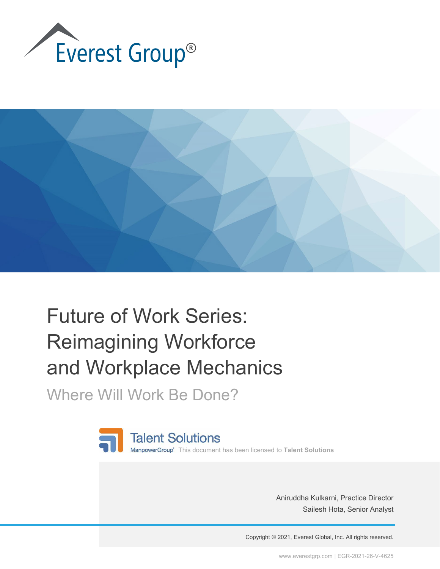



## Future of Work Series: Reimagining Workforce and Workplace Mechanics

Where Will Work Be Done?



Aniruddha Kulkarni, Practice Director Sailesh Hota, Senior Analyst

Copyright © 2021, Everest Global, Inc. All rights reserved.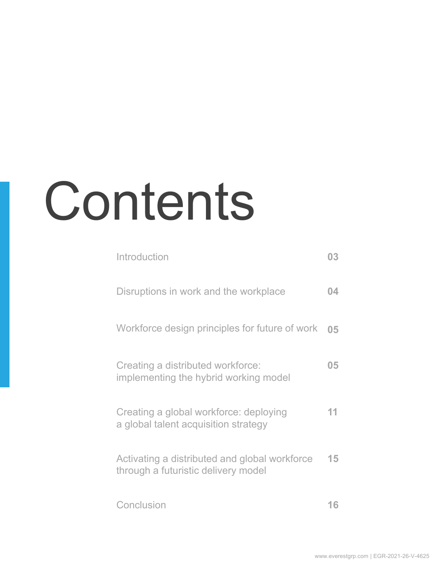# Contents

| Introduction                                                                         | 03  |
|--------------------------------------------------------------------------------------|-----|
| Disruptions in work and the workplace                                                | 04  |
| Workforce design principles for future of work                                       | 05  |
| Creating a distributed workforce:<br>implementing the hybrid working model           | 05  |
| Creating a global workforce: deploying<br>a global talent acquisition strategy       | 11. |
| Activating a distributed and global workforce<br>through a futuristic delivery model | 15  |
| Conclusion                                                                           | 16  |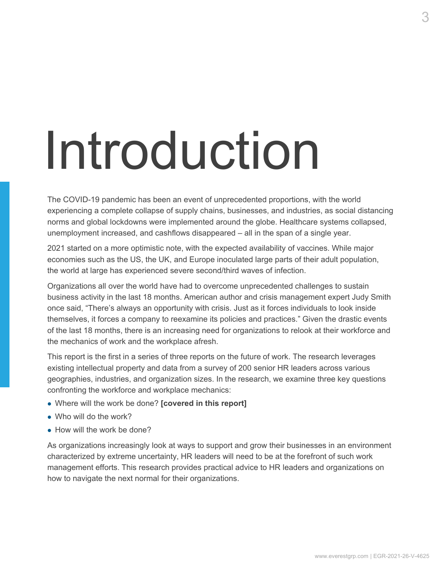## <span id="page-2-0"></span>Introduction

The COVID-19 pandemic has been an event of unprecedented proportions, with the world experiencing a complete collapse of supply chains, businesses, and industries, as social distancing norms and global lockdowns were implemented around the globe. Healthcare systems collapsed, unemployment increased, and cashflows disappeared – all in the span of a single year.

2021 started on a more optimistic note, with the expected availability of vaccines. While major economies such as the US, the UK, and Europe inoculated large parts of their adult population, the world at large has experienced severe second/third waves of infection.

Organizations all over the world have had to overcome unprecedented challenges to sustain business activity in the last 18 months. American author and crisis management expert Judy Smith once said, "There's always an opportunity with crisis. Just as it forces individuals to look inside themselves, it forces a company to reexamine its policies and practices." Given the drastic events of the last 18 months, there is an increasing need for organizations to relook at their workforce and the mechanics of work and the workplace afresh.

This report is the first in a series of three reports on the future of work. The research leverages existing intellectual property and data from a survey of 200 senior HR leaders across various geographies, industries, and organization sizes. In the research, we examine three key questions confronting the workforce and workplace mechanics:

- Where will the work be done? **[covered in this report]**
- Who will do the work?
- How will the work be done?

As organizations increasingly look at ways to support and grow their businesses in an environment characterized by extreme uncertainty, HR leaders will need to be at the forefront of such work management efforts. This research provides practical advice to HR leaders and organizations on how to navigate the next normal for their organizations.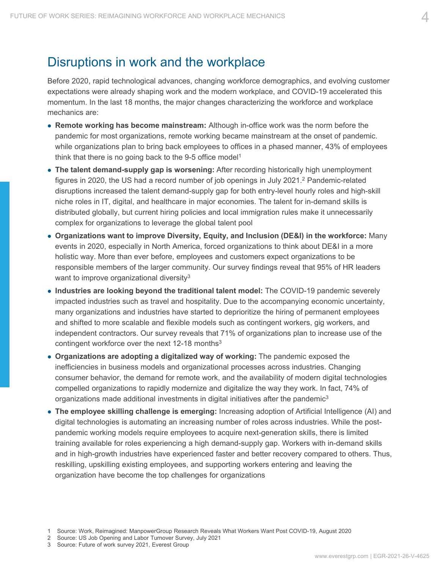### <span id="page-3-0"></span>Disruptions in work and the workplace

Before 2020, rapid technological advances, changing workforce demographics, and evolving customer expectations were already shaping work and the modern workplace, and COVID-19 accelerated this momentum. In the last 18 months, the major changes characterizing the workforce and workplace mechanics are:

- **Remote working has become mainstream:** Although in-office work was the norm before the pandemic for most organizations, remote working became mainstream at the onset of pandemic. while organizations plan to bring back employees to offices in a phased manner, 43% of employees think that there is no going back to the 9-5 office model<sup>1</sup>
- The talent demand-supply gap is worsening: After recording historically high unemployment figures in 2020, the US had a record number of job openings in July 2021. $<sup>2</sup>$  Pandemic-related</sup> disruptions increased the talent demand-supply gap for both entry-level hourly roles and high-skill niche roles in IT, digital, and healthcare in major economies. The talent for in-demand skills is distributed globally, but current hiring policies and local immigration rules make it unnecessarily complex for organizations to leverage the global talent pool
- **Organizations want to improve Diversity, Equity, and Inclusion (DE&I) in the workforce:** Many events in 2020, especially in North America, forced organizations to think about DE&I in a more holistic way. More than ever before, employees and customers expect organizations to be responsible members of the larger community. Our survey findings reveal that 95% of HR leaders want to improve organizational diversity<sup>3</sup>
- **Industries are looking beyond the traditional talent model:** The COVID-19 pandemic severely impacted industries such as travel and hospitality. Due to the accompanying economic uncertainty, many organizations and industries have started to deprioritize the hiring of permanent employees and shifted to more scalable and flexible models such as contingent workers, gig workers, and independent contractors. Our survey reveals that 71% of organizations plan to increase use of the contingent workforce over the next 12-18 months<sup>3</sup>
- **Organizations are adopting a digitalized way of working:** The pandemic exposed the inefficiencies in business models and organizational processes across industries. Changing consumer behavior, the demand for remote work, and the availability of modern digital technologies compelled organizations to rapidly modernize and digitalize the way they work. In fact, 74% of organizations made additional investments in digital initiatives after the pandemic $3$
- **The employee skilling challenge is emerging:** Increasing adoption of Artificial Intelligence (AI) and digital technologies is automating an increasing number of roles across industries. While the postpandemic working models require employees to acquire next-generation skills, there is limited training available for roles experiencing a high demand-supply gap. Workers with in-demand skills and in high-growth industries have experienced faster and better recovery compared to others. Thus, reskilling, upskilling existing employees, and supporting workers entering and leaving the organization have become the top challenges for organizations

- 2 Source: US Job Opening and Labor Turnover Survey, July 2021
- 3 Source: Future of work survey 2021, Everest Group

<sup>1</sup> Source: Work, Reimagined: ManpowerGroup Research Reveals What Workers Want Post COVID-19, August 2020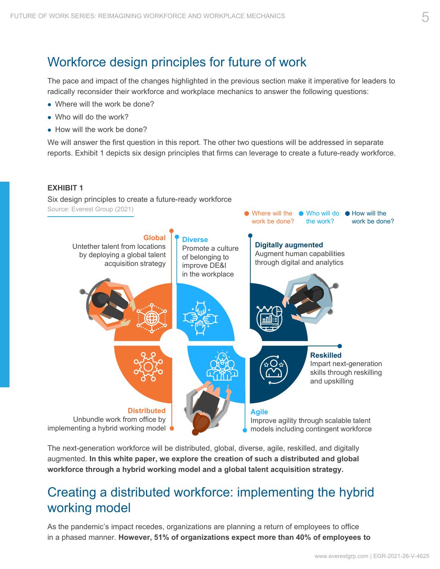## <span id="page-4-0"></span>Workforce design principles for future of work

The pace and impact of the changes highlighted in the previous section make it imperative for leaders to radically reconsider their workforce and workplace mechanics to answer the following questions:

- Where will the work be done?
- Who will do the work?
- How will the work be done?

We will answer the first question in this report. The other two questions will be addressed in separate reports. Exhibit 1 depicts six design principles that firms can leverage to create a future-ready workforce.

#### **EXHIBIT 1**

Six design principles to create a future-ready workforce Source: Everest Group (2021)



The next-generation workforce will be distributed, global, diverse, agile, reskilled, and digitally augmented. **In this white paper, we explore the creation of such a distributed and global workforce through a hybrid working model and a global talent acquisition strategy.**

## Creating a distributed workforce: implementing the hybrid working model

As the pandemic's impact recedes, organizations are planning a return of employees to office in a phased manner. **However, 51% of organizations expect more than 40% of employees to**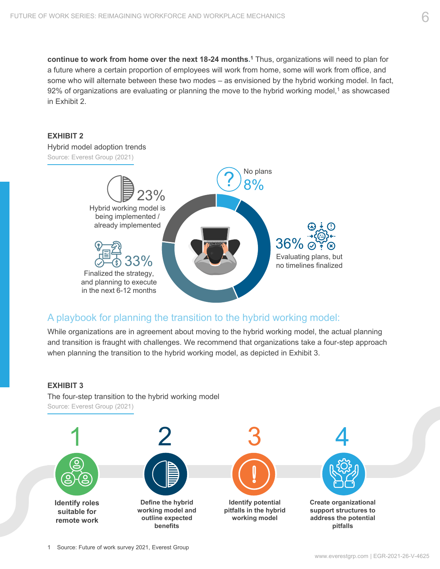**continue to work from home over the next 18-24 months. <sup>1</sup>** Thus, organizations will need to plan for a future where a certain proportion of employees will work from home, some will work from office, and some who will alternate between these two modes – as envisioned by the hybrid working model. In fact, 92% of organizations are evaluating or planning the move to the hybrid working model,<sup>1</sup> as showcased in Exhibit 2.





#### A playbook for planning the transition to the hybrid working model:

While organizations are in agreement about moving to the hybrid working model, the actual planning and transition is fraught with challenges. We recommend that organizations take a four-step approach when planning the transition to the hybrid working model, as depicted in Exhibit 3.



The four-step transition to the hybrid working model Source: Everest Group (2021)

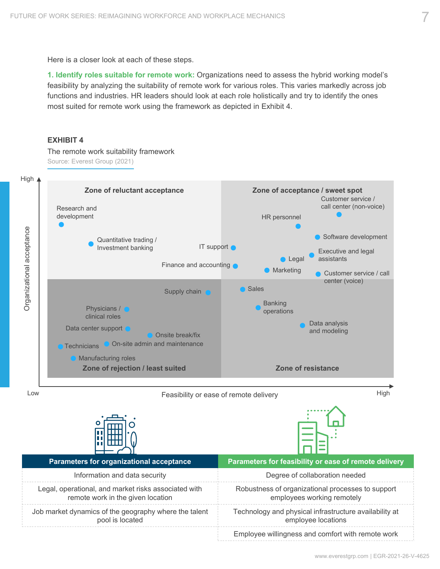Here is a closer look at each of these steps.

**1. Identify roles suitable for remote work:** Organizations need to assess the hybrid working model's feasibility by analyzing the suitability of remote work for various roles. This varies markedly across job functions and industries. HR leaders should look at each role holistically and try to identify the ones most suited for remote work using the framework as depicted in Exhibit 4.

#### **EXHIBIT 4**

The remote work suitability framework Source: Everest Group (2021)



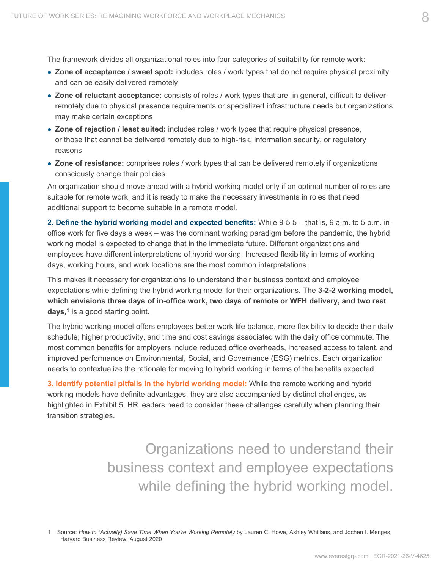The framework divides all organizational roles into four categories of suitability for remote work:

- **Zone of acceptance / sweet spot:** includes roles / work types that do not require physical proximity and can be easily delivered remotely
- **Zone of reluctant acceptance:** consists of roles / work types that are, in general, difficult to deliver remotely due to physical presence requirements or specialized infrastructure needs but organizations may make certain exceptions
- **Zone of rejection / least suited:** includes roles / work types that require physical presence, or those that cannot be delivered remotely due to high-risk, information security, or regulatory reasons
- **Zone of resistance:** comprises roles / work types that can be delivered remotely if organizations consciously change their policies

An organization should move ahead with a hybrid working model only if an optimal number of roles are suitable for remote work, and it is ready to make the necessary investments in roles that need additional support to become suitable in a remote model.

**2. Define the hybrid working model and expected benefits:** While 9-5-5 – that is, 9 a.m. to 5 p.m. inoffice work for five days a week – was the dominant working paradigm before the pandemic, the hybrid working model is expected to change that in the immediate future. Different organizations and employees have different interpretations of hybrid working. Increased flexibility in terms of working days, working hours, and work locations are the most common interpretations.

This makes it necessary for organizations to understand their business context and employee expectations while defining the hybrid working model for their organizations. The **3-2-2 working model, which envisions three days of in-office work, two days of remote or WFH delivery, and two rest days,<sup>1</sup>** is a good starting point.

The hybrid working model offers employees better work-life balance, more flexibility to decide their daily schedule, higher productivity, and time and cost savings associated with the daily office commute. The most common benefits for employers include reduced office overheads, increased access to talent, and improved performance on Environmental, Social, and Governance (ESG) metrics. Each organization needs to contextualize the rationale for moving to hybrid working in terms of the benefits expected.

**3. Identify potential pitfalls in the hybrid working model:** While the remote working and hybrid working models have definite advantages, they are also accompanied by distinct challenges, as highlighted in Exhibit 5. HR leaders need to consider these challenges carefully when planning their transition strategies.

> Organizations need to understand their business context and employee expectations while defining the hybrid working model.

1 Source: *How to (Actually) Save Time When You're Working Remotely* by Lauren C. Howe, Ashley Whillans, and Jochen I. Menges, Harvard Business Review, August 2020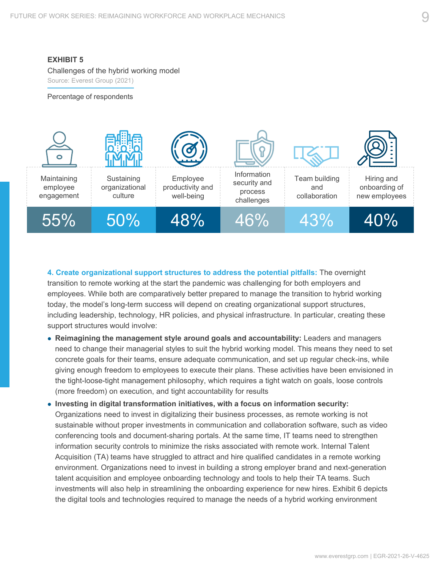#### **EXHIBIT 5**

Challenges of the hybrid working model Source: Everest Group (2021)

Percentage of respondents



**4. Create organizational support structures to address the potential pitfalls:** The overnight transition to remote working at the start the pandemic was challenging for both employers and employees. While both are comparatively better prepared to manage the transition to hybrid working today, the model's long-term success will depend on creating organizational support structures, including leadership, technology, HR policies, and physical infrastructure. In particular, creating these support structures would involve:

- **Reimagining the management style around goals and accountability:** Leaders and managers need to change their managerial styles to suit the hybrid working model. This means they need to set concrete goals for their teams, ensure adequate communication, and set up regular check-ins, while giving enough freedom to employees to execute their plans. These activities have been envisioned in the tight-loose-tight management philosophy, which requires a tight watch on goals, loose controls (more freedom) on execution, and tight accountability for results
- **Investing in digital transformation initiatives, with a focus on information security:** Organizations need to invest in digitalizing their business processes, as remote working is not sustainable without proper investments in communication and collaboration software, such as video conferencing tools and document-sharing portals. At the same time, IT teams need to strengthen information security controls to minimize the risks associated with remote work. Internal Talent Acquisition (TA) teams have struggled to attract and hire qualified candidates in a remote working environment. Organizations need to invest in building a strong employer brand and next-generation talent acquisition and employee onboarding technology and tools to help their TA teams. Such investments will also help in streamlining the onboarding experience for new hires. Exhibit 6 depicts the digital tools and technologies required to manage the needs of a hybrid working environment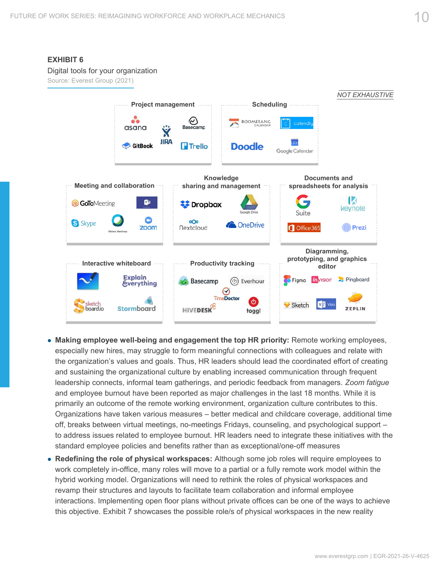#### **EXHIBIT 6** Digital tools for your organization Source: Everest Group (2021) *NOT EXHAUSTIVE* **Project management Scheduling** ૺ  $\scriptstyle\odot$ BOOMERANG asana Basecamp Ÿ **JIRA Trello GitBook** Doodle Google Calendar **Knowledge Documents and Meeting and collaboration sharing and management spreadsheets for analysis** G. **B GoTo**Meeting **Dropbox** keynote Suite O ഹം S Skype **C** OneDrive <sup>1</sup>Prezi zoom **Nextcloud** Office 365 **Diagramming, prototyping, and graphics Productivity tracking**<br>editor **Interactive whiteboard Explain** *in* vision Pingboard (2) Everhour Figma Basecamp **Everything**  $\varOmega$ **TimeDoctor**  $\sigma$ ketch Sketch HIVEDESK<sup>8</sup> board.io Stormboard **ZEPLIN** toggl

- **Making employee well-being and engagement the top HR priority:** Remote working employees, especially new hires, may struggle to form meaningful connections with colleagues and relate with the organization's values and goals. Thus, HR leaders should lead the coordinated effort of creating and sustaining the organizational culture by enabling increased communication through frequent leadership connects, informal team gatherings, and periodic feedback from managers. *Zoom fatigue*  and employee burnout have been reported as major challenges in the last 18 months. While it is primarily an outcome of the remote working environment, organization culture contributes to this. Organizations have taken various measures – better medical and childcare coverage, additional time off, breaks between virtual meetings, no-meetings Fridays, counseling, and psychological support – to address issues related to employee burnout. HR leaders need to integrate these initiatives with the standard employee policies and benefits rather than as exceptional/one-off measures
- **Redefining the role of physical workspaces:** Although some job roles will require employees to work completely in-office, many roles will move to a partial or a fully remote work model within the hybrid working model. Organizations will need to rethink the roles of physical workspaces and revamp their structures and layouts to facilitate team collaboration and informal employee interactions. Implementing open floor plans without private offices can be one of the ways to achieve this objective. Exhibit 7 showcases the possible role/s of physical workspaces in the new reality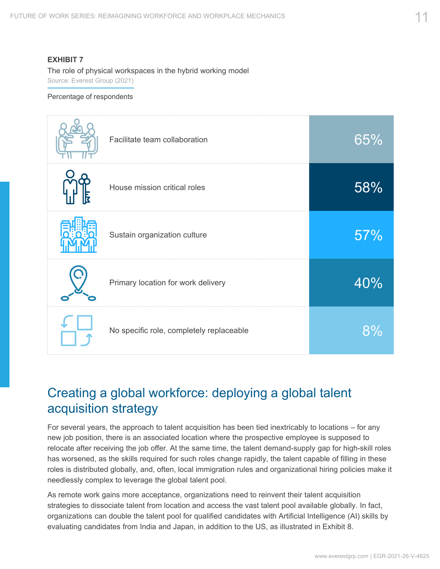#### <span id="page-10-0"></span>**EXHIBIT 7**

The role of physical workspaces in the hybrid working model Source: Everest Group (2021)

#### Percentage of respondents

| Facilitate team collaboration            | 65% |
|------------------------------------------|-----|
| House mission critical roles             | 58% |
| Sustain organization culture             | 57% |
| Primary location for work delivery       | 40% |
| No specific role, completely replaceable | 8%  |

### Creating a global workforce: deploying a global talent acquisition strategy

For several years, the approach to talent acquisition has been tied inextricably to locations – for any new job position, there is an associated location where the prospective employee is supposed to relocate after receiving the job offer. At the same time, the talent demand-supply gap for high-skill roles has worsened, as the skills required for such roles change rapidly, the talent capable of filling in these roles is distributed globally, and, often, local immigration rules and organizational hiring policies make it needlessly complex to leverage the global talent pool.

As remote work gains more acceptance, organizations need to reinvent their talent acquisition strategies to dissociate talent from location and access the vast talent pool available globally. In fact, organizations can double the talent pool for qualified candidates with Artificial Intelligence (AI) skills by evaluating candidates from India and Japan, in addition to the US, as illustrated in Exhibit 8.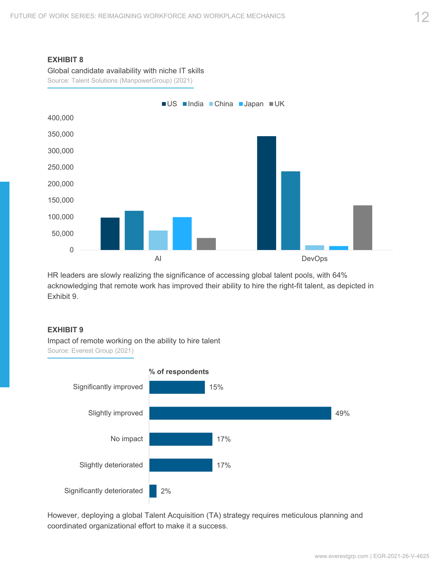#### **EXHIBIT 8**

Global candidate availability with niche IT skills

Source: Talent Solutions (ManpowerGroup) (2021)



HR leaders are slowly realizing the significance of accessing global talent pools, with 64% acknowledging that remote work has improved their ability to hire the right-fit talent, as depicted in Exhibit 9.

#### **EXHIBIT 9**

Impact of remote working on the ability to hire talent Source: Everest Group (2021)



However, deploying a global Talent Acquisition (TA) strategy requires meticulous planning and coordinated organizational effort to make it a success.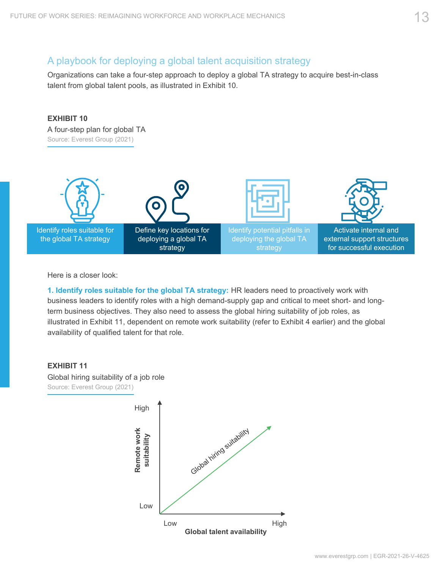#### A playbook for deploying a global talent acquisition strategy

Organizations can take a four-step approach to deploy a global TA strategy to acquire best-in-class talent from global talent pools, as illustrated in Exhibit 10.



Here is a closer look:

**1. Identify roles suitable for the global TA strategy:** HR leaders need to proactively work with business leaders to identify roles with a high demand-supply gap and critical to meet short- and longterm business objectives. They also need to assess the global hiring suitability of job roles, as illustrated in Exhibit 11, dependent on remote work suitability (refer to Exhibit 4 earlier) and the global availability of qualified talent for that role.



Global hiring suitability of a job role Source: Everest Group (2021)

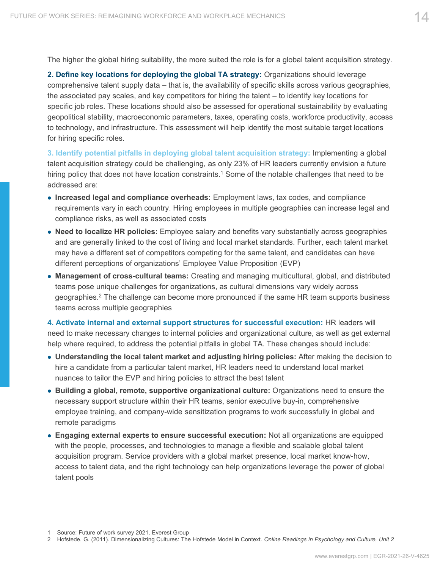The higher the global hiring suitability, the more suited the role is for a global talent acquisition strategy.

**2. Define key locations for deploying the global TA strategy:** Organizations should leverage comprehensive talent supply data – that is, the availability of specific skills across various geographies, the associated pay scales, and key competitors for hiring the talent – to identify key locations for specific job roles. These locations should also be assessed for operational sustainability by evaluating geopolitical stability, macroeconomic parameters, taxes, operating costs, workforce productivity, access to technology, and infrastructure. This assessment will help identify the most suitable target locations for hiring specific roles.

**3. Identify potential pitfalls in deploying global talent acquisition strategy:** Implementing a global talent acquisition strategy could be challenging, as only 23% of HR leaders currently envision a future hiring policy that does not have location constraints.<sup>1</sup> Some of the notable challenges that need to be addressed are:

- **Increased legal and compliance overheads:** Employment laws, tax codes, and compliance requirements vary in each country. Hiring employees in multiple geographies can increase legal and compliance risks, as well as associated costs
- **Need to localize HR policies:** Employee salary and benefits vary substantially across geographies and are generally linked to the cost of living and local market standards. Further, each talent market may have a different set of competitors competing for the same talent, and candidates can have different perceptions of organizations' Employee Value Proposition (EVP)
- **Management of cross-cultural teams:** Creating and managing multicultural, global, and distributed teams pose unique challenges for organizations, as cultural dimensions vary widely across geographies.<sup>2</sup> The challenge can become more pronounced if the same HR team supports business teams across multiple geographies

**4. Activate internal and external support structures for successful execution:** HR leaders will need to make necessary changes to internal policies and organizational culture, as well as get external help where required, to address the potential pitfalls in global TA. These changes should include:

- **Understanding the local talent market and adjusting hiring policies:** After making the decision to hire a candidate from a particular talent market, HR leaders need to understand local market nuances to tailor the EVP and hiring policies to attract the best talent
- **Building a global, remote, supportive organizational culture:** Organizations need to ensure the necessary support structure within their HR teams, senior executive buy-in, comprehensive employee training, and company-wide sensitization programs to work successfully in global and remote paradigms
- **Engaging external experts to ensure successful execution:** Not all organizations are equipped with the people, processes, and technologies to manage a flexible and scalable global talent acquisition program. Service providers with a global market presence, local market know-how, access to talent data, and the right technology can help organizations leverage the power of global talent pools

<sup>1</sup> Source: Future of work survey 2021, Everest Group

<sup>2</sup> Hofstede, G. (2011). Dimensionalizing Cultures: The Hofstede Model in Context. *Online Readings in Psychology and Culture, Unit 2*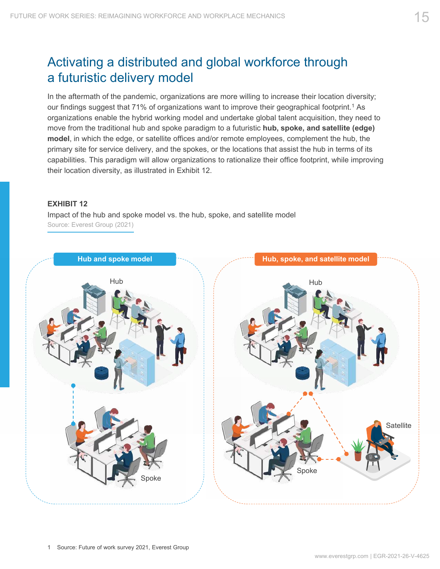## <span id="page-14-0"></span>Activating a distributed and global workforce through a futuristic delivery model

In the aftermath of the pandemic, organizations are more willing to increase their location diversity; our findings suggest that 71% of organizations want to improve their geographical footprint.<sup>1</sup> As organizations enable the hybrid working model and undertake global talent acquisition, they need to move from the traditional hub and spoke paradigm to a futuristic **hub, spoke, and satellite (edge) model**, in which the edge, or satellite offices and/or remote employees, complement the hub, the primary site for service delivery, and the spokes, or the locations that assist the hub in terms of its capabilities. This paradigm will allow organizations to rationalize their office footprint, while improving their location diversity, as illustrated in Exhibit 12.

#### **EXHIBIT 12**

Impact of the hub and spoke model vs. the hub, spoke, and satellite model Source: Everest Group (2021)

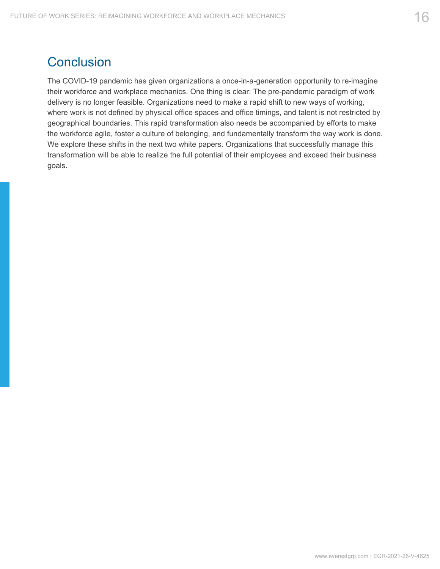## <span id="page-15-0"></span>**Conclusion**

The COVID-19 pandemic has given organizations a once-in-a-generation opportunity to re-imagine their workforce and workplace mechanics. One thing is clear: The pre-pandemic paradigm of work delivery is no longer feasible. Organizations need to make a rapid shift to new ways of working, where work is not defined by physical office spaces and office timings, and talent is not restricted by geographical boundaries. This rapid transformation also needs be accompanied by efforts to make the workforce agile, foster a culture of belonging, and fundamentally transform the way work is done. We explore these shifts in the next two white papers. Organizations that successfully manage this transformation will be able to realize the full potential of their employees and exceed their business goals.